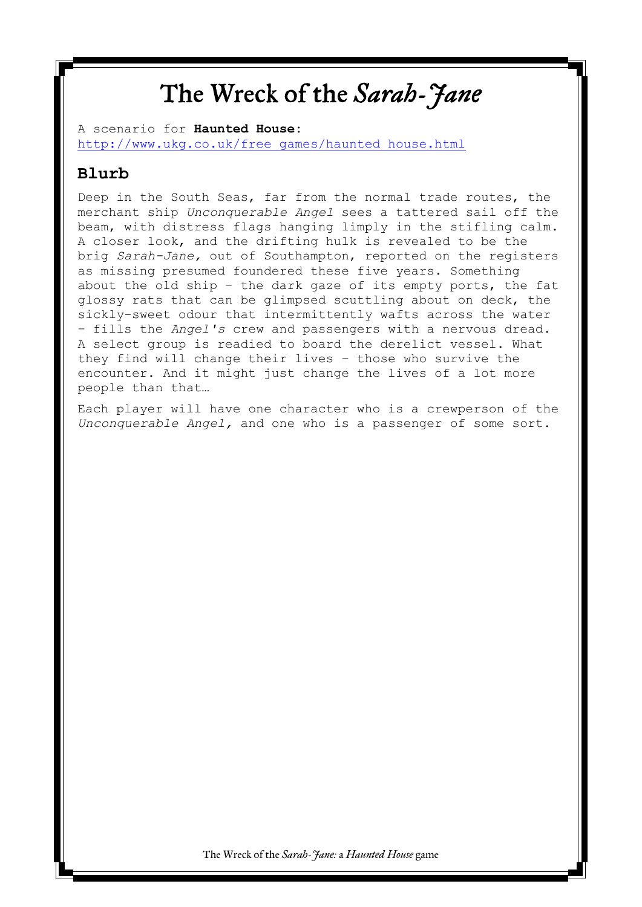### The Wreck of the *Sarah-Jane*

A scenario for **Haunted House:** [http://www.ukg.co.uk/free\\_games/haunted\\_house.html](http://www.ukg.co.uk/free_games/haunted_house.html)

### **Blurb**

Deep in the South Seas, far from the normal trade routes, the merchant ship *Unconquerable Angel* sees a tattered sail off the beam, with distress flags hanging limply in the stifling calm. A closer look, and the drifting hulk is revealed to be the brig *Sarah-Jane,* out of Southampton, reported on the registers as missing presumed foundered these five years. Something about the old ship – the dark gaze of its empty ports, the fat glossy rats that can be glimpsed scuttling about on deck, the sickly-sweet odour that intermittently wafts across the water – fills the *Angel's* crew and passengers with a nervous dread. A select group is readied to board the derelict vessel. What they find will change their lives – those who survive the encounter. And it might just change the lives of a lot more people than that…

Each player will have one character who is a crewperson of the *Unconquerable Angel,* and one who is a passenger of some sort.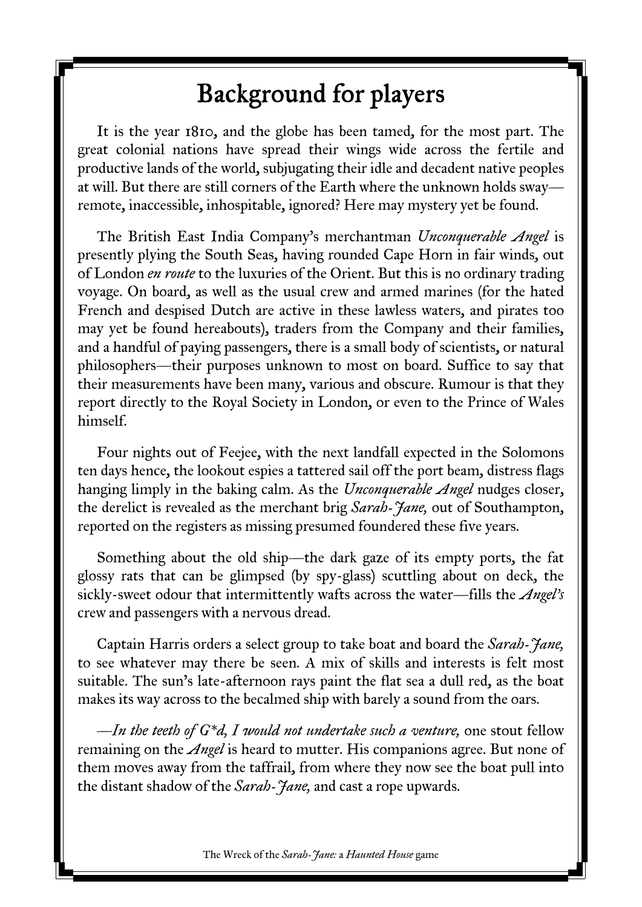## Background for players

It is the year 1810, and the globe has been tamed, for the most part. The great colonial nations have spread their wings wide across the fertile and productive lands of the world, subjugating their idle and decadent native peoples at will. But there are still corners of the Earth where the unknown holds sway remote, inaccessible, inhospitable, ignored? Here may mystery yet be found.

The British East India Company's merchantman *Unconquerable Angel* is presently plying the South Seas, having rounded Cape Horn in fair winds, out of London *en route* to the luxuries of the Orient. But this is no ordinary trading voyage. On board, as well as the usual crew and armed marines (for the hated French and despised Dutch are active in these lawless waters, and pirates too may yet be found hereabouts), traders from the Company and their families, and a handful of paying passengers, there is a small body of scientists, or natural philosophers—their purposes unknown to most on board. Suffice to say that their measurements have been many, various and obscure. Rumour is that they report directly to the Royal Society in London, or even to the Prince of Wales himself.

Four nights out of Feejee, with the next landfall expected in the Solomons ten days hence, the lookout espies a tattered sail off the port beam, distress flags hanging limply in the baking calm. As the *Unconquerable Angel* nudges closer, the derelict is revealed as the merchant brig *Sarah-Jane,* out of Southampton, reported on the registers as missing presumed foundered these five years.

Something about the old ship—the dark gaze of its empty ports, the fat glossy rats that can be glimpsed (by spy-glass) scuttling about on deck, the sickly-sweet odour that intermittently wafts across the water—fills the *Angel's* crew and passengers with a nervous dread.

Captain Harris orders a select group to take boat and board the *Sarah-Jane,* to see whatever may there be seen. A mix of skills and interests is felt most suitable. The sun's late-afternoon rays paint the flat sea a dull red, as the boat makes its way across to the becalmed ship with barely a sound from the oars.

*—In the teeth of G\*d, I would not undertake such a venture,* one stout fellow remaining on the *Angel* is heard to mutter. His companions agree. But none of them moves away from the taffrail, from where they now see the boat pull into the distant shadow of the *Sarah-Jane,* and cast a rope upwards.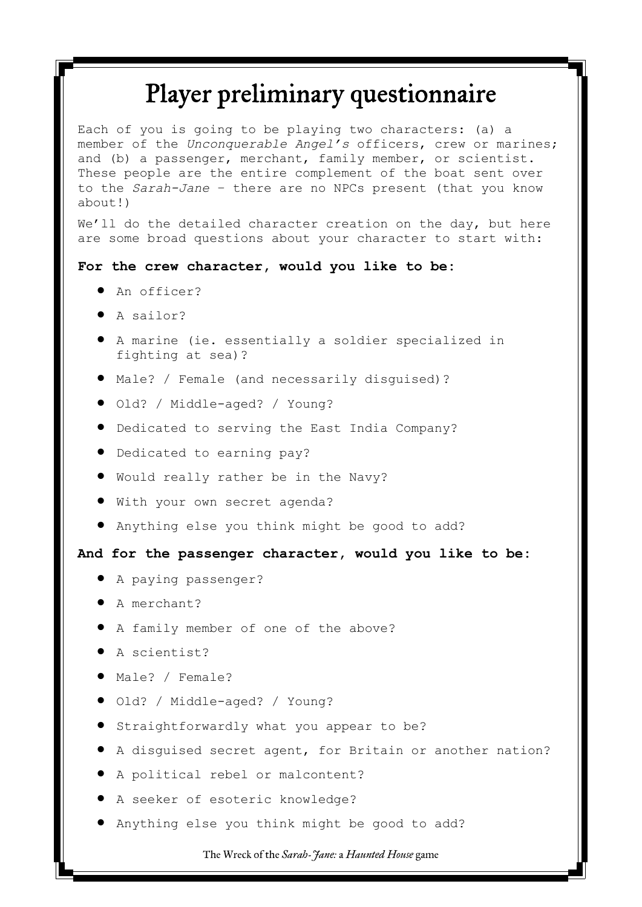# Player preliminary questionnaire

Each of you is going to be playing two characters: (a) a member of the *Unconquerable Angel's* officers, crew or marines; and (b) a passenger, merchant, family member, or scientist. These people are the entire complement of the boat sent over to the *Sarah-Jane* – there are no NPCs present (that you know about!)

We'll do the detailed character creation on the day, but here are some broad questions about your character to start with:

#### **For the crew character, would you like to be:**

- $\bullet$  An officer?
- A sailor?
- A marine (ie. essentially a soldier specialized in fighting at sea)?
- Male? / Female (and necessarily disguised)?
- $\bullet$  Old? / Middle-aged? / Young?
- Dedicated to serving the East India Company?
- $\bullet$  Dedicated to earning pay?
- Would really rather be in the Navy?
- With your own secret agenda?
- Anything else you think might be good to add?

#### **And for the passenger character, would you like to be:**

- A paying passenger?
- A merchant?
- A family member of one of the above?
- A scientist?
- Male? / Female?
- $\bullet$  Old? / Middle-aged? / Young?
- **•** Straightforwardly what you appear to be?
- A disguised secret agent, for Britain or another nation?
- A political rebel or malcontent?
- A seeker of esoteric knowledge?
- Anything else you think might be good to add?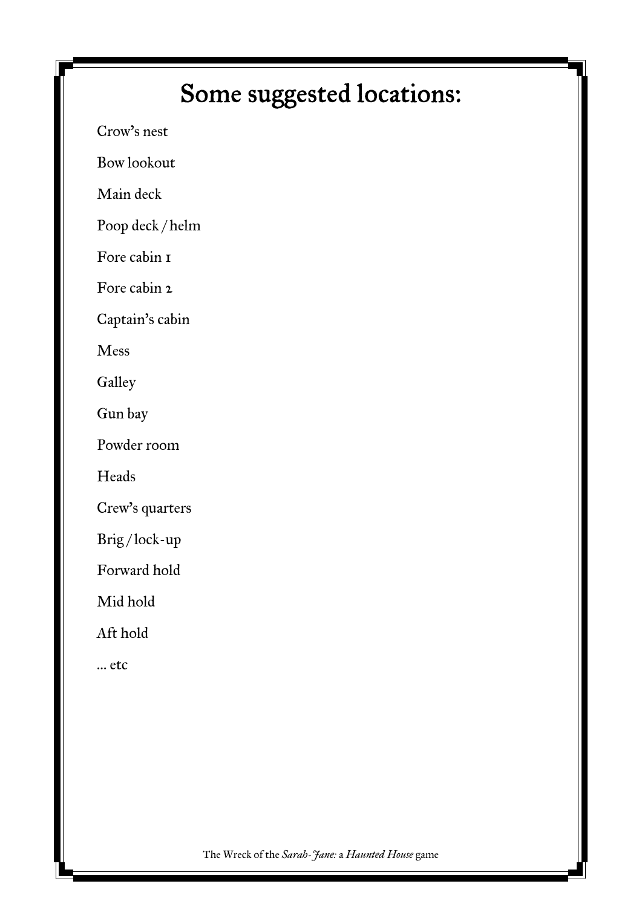# Some suggested locations:

Crow's nest

Bow lookout

Main deck

Poop deck / helm

Fore cabin 1

Fore cabin 2

Captain's cabin

Mess

**Galley** 

Gun bay

Powder room

Heads

Crew's quarters

Brig / lock-up

Forward hold

Mid hold

Aft hold

… etc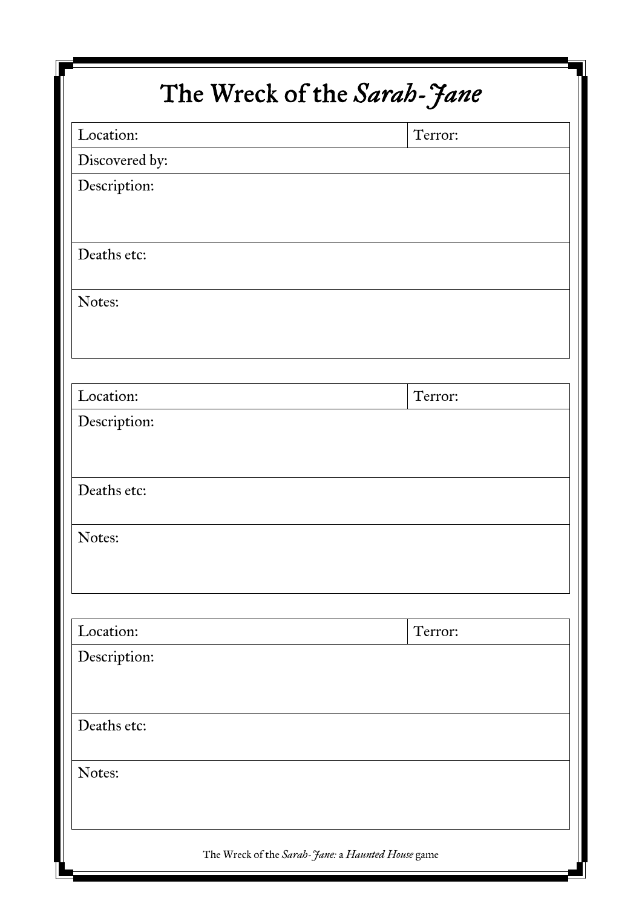| The Wreck of the Sarah-Jane |  |                                                   |  |
|-----------------------------|--|---------------------------------------------------|--|
| Location:                   |  | Terror:                                           |  |
| Discovered by:              |  |                                                   |  |
| Description:                |  |                                                   |  |
| Deaths etc:                 |  |                                                   |  |
| Notes:                      |  |                                                   |  |
| Location:                   |  | Terror:                                           |  |
| Description:                |  |                                                   |  |
| Deaths etc:                 |  |                                                   |  |
| Notes:                      |  |                                                   |  |
| Location:                   |  | Terror:                                           |  |
| Description:                |  |                                                   |  |
| Deaths etc:                 |  |                                                   |  |
| Notes:                      |  |                                                   |  |
|                             |  | The Wreck of the Sarah-Jane: a Haunted House game |  |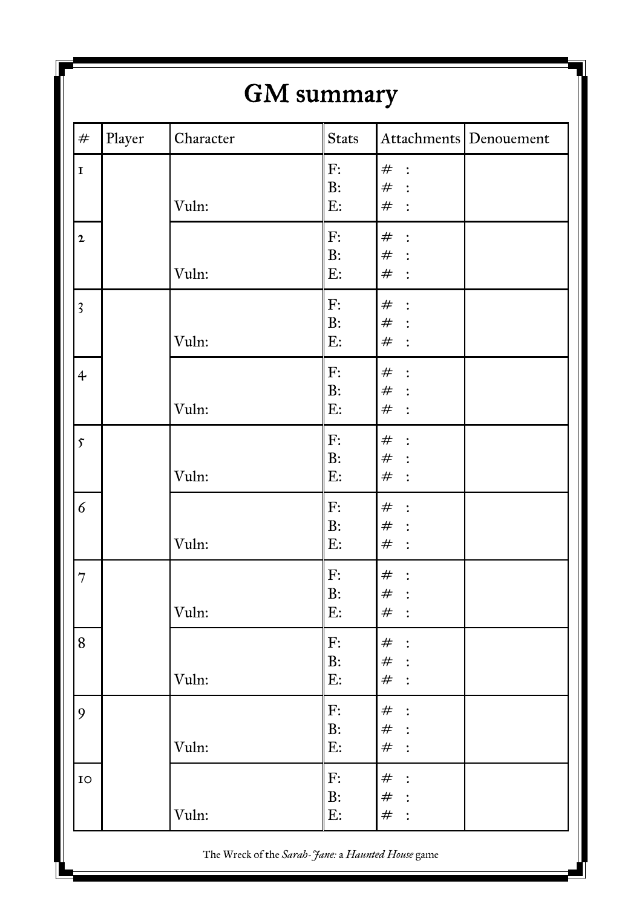| $\#$                    | Player | Character | <b>Stats</b> |                           | Attachments Denouement |
|-------------------------|--------|-----------|--------------|---------------------------|------------------------|
| $\mathbf I$             |        |           | F:           | $#$ :                     |                        |
|                         |        |           | B:           | $#$ :                     |                        |
|                         |        | Vuln:     | E:           | $#$ :                     |                        |
| $\mathbf{2}$            |        |           | F:           | $#$ :                     |                        |
|                         |        |           | B:           | $#$ :                     |                        |
|                         |        | Vuln:     | E:           | $#$ :                     |                        |
| $\overline{\mathbf{3}}$ |        |           | F:           | $#$ :                     |                        |
|                         |        |           | B:           | $\#$ :                    |                        |
|                         |        | Vuln:     | E:           | $#$ :                     |                        |
| $\ddot{\mathbf{r}}$     |        |           | F:           | $#$ :                     |                        |
|                         |        |           | B:           | $#$ :                     |                        |
|                         |        | Vuln:     | $E$ :        | $#$ :                     |                        |
| $\mathfrak{F}$          |        |           | F:           | $#$ :                     |                        |
|                         |        |           | B:           | $#$ :                     |                        |
|                         |        | Vuln:     | E:           | $#$ :                     |                        |
| 6                       |        |           | F:           | $#$ :                     |                        |
|                         |        |           | B:           | $#$ :                     |                        |
|                         |        | Vuln:     | E:           | $^{\#}$<br>$\ddot{\cdot}$ |                        |
| $\overline{7}$          |        |           | F:           | $\#$<br>$\ddot{\cdot}$    |                        |
|                         |        |           | B:           | #                         |                        |
|                         |        | Vuln:     | E:           | $#$ :                     |                        |
| 8                       |        |           | F:           | $^{\#}$<br>$\ddot{\cdot}$ |                        |
|                         |        |           | B:           | $#$ :                     |                        |
|                         |        | Vuln:     | E:           | #                         |                        |
| 9                       |        |           | F:           | $\#$<br>$\ddot{\cdot}$    |                        |
|                         |        |           | B:           | #                         |                        |
|                         |        | Vuln:     | E:           | $^{\#}$                   |                        |
| IO                      |        |           | F:           | $\#$<br>$\ddot{\cdot}$    |                        |
|                         |        |           | B:           | $#$ :                     |                        |
|                         |        | Vuln:     | E:           | $^{\#}$<br>$\ddot{\cdot}$ |                        |